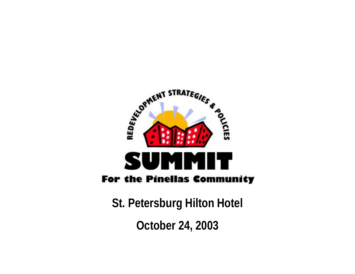

**St. Petersburg Hilton Hotel October 24, 2003**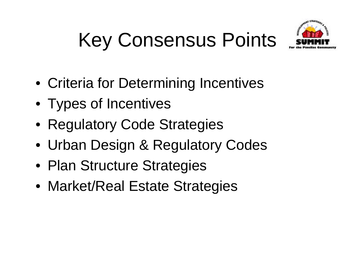# Key Consensus Points



- Criteria for Determining Incentives
- Types of Incentives
- Regulatory Code Strategies
- Urban Design & Regulatory Codes
- Plan Structure Strategies
- Market/Real Estate Strategies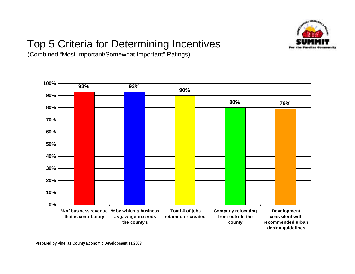

### Top 5 Criteria for Determining Incentives

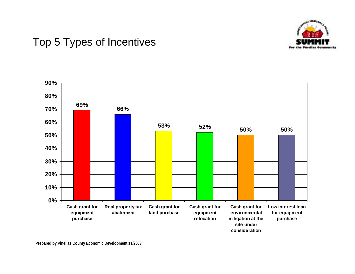

#### Top 5 Types of Incentives

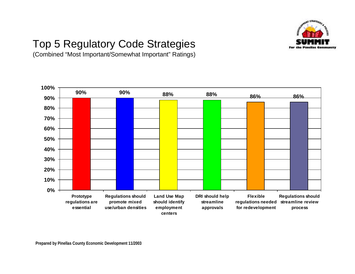

### Top 5 Regulatory Code Strategies

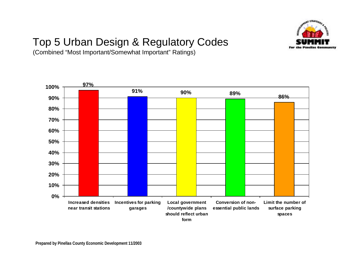

## Top 5 Urban Design & Regulatory Codes

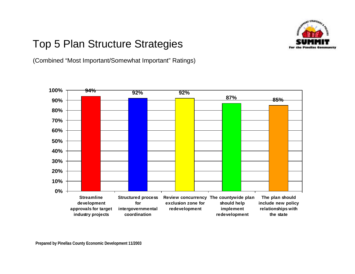

#### Top 5 Plan Structure Strategies

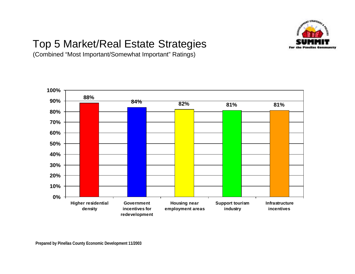

### Top 5 Market/Real Estate Strategies